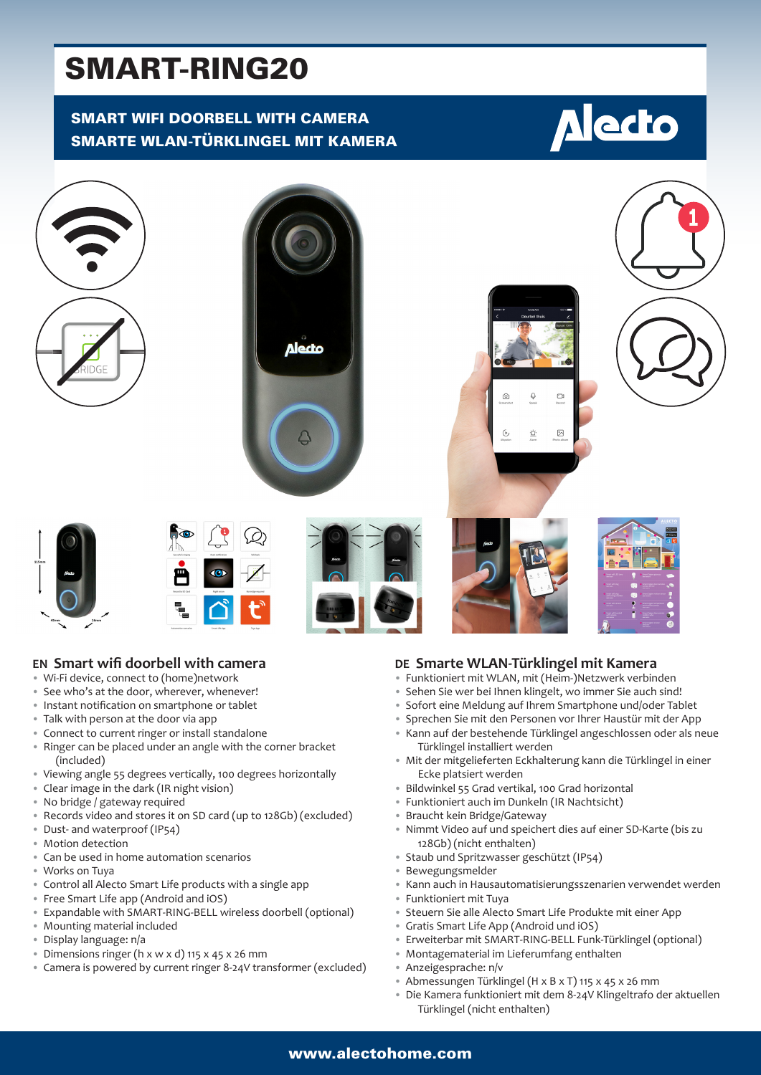# SMART-RING20

# SMART WIFI DOORBELL WITH CAMERA SMARTE WLAN-TÜRKLINGEL MIT KAMERA





#### **EN Smart wifi doorbell with camera**

- Wi-Fi device, connect to (home)network
- See who's at the door, wherever, whenever!
- Instant notification on smartphone or tablet
- Talk with person at the door via app
- Connect to current ringer or install standalone
- Ringer can be placed under an angle with the corner bracket (included)
- Viewing angle 55 degrees vertically, 100 degrees horizontally
- Clear image in the dark (IR night vision)
- No bridge / gateway required
- Records video and stores it on SD card (up to 128Gb) (excluded)
- Dust- and waterproof (IP54)
- Motion detection
- Can be used in home automation scenarios
- Works on Tuya
- Control all Alecto Smart Life products with a single app
- Free Smart Life app (Android and iOS)
- Expandable with SMART-RING-BELL wireless doorbell (optional)
- Mounting material included
- Display language: n/a
- Dimensions ringer (h x w x d) 115 x 45 x 26 mm
- Camera is powered by current ringer 8-24V transformer (excluded)

#### **DE Smarte WLAN-Türklingel mit Kamera**

- Funktioniert mit WLAN, mit (Heim-)Netzwerk verbinden
- Sehen Sie wer bei Ihnen klingelt, wo immer Sie auch sind!
- Sofort eine Meldung auf Ihrem Smartphone und/oder Tablet
- Sprechen Sie mit den Personen vor Ihrer Haustür mit der App
- Kann auf der bestehende Türklingel angeschlossen oder als neue Türklingel installiert werden
- Mit der mitgelieferten Eckhalterung kann die Türklingel in einer Ecke platsiert werden
- Bildwinkel 55 Grad vertikal, 100 Grad horizontal
- Funktioniert auch im Dunkeln (IR Nachtsicht)
- Braucht kein Bridge/Gateway
- Nimmt Video auf und speichert dies auf einer SD-Karte (bis zu 128Gb) (nicht enthalten)
- Staub und Spritzwasser geschützt (IP54)
- Bewegungsmelder
- Kann auch in Hausautomatisierungsszenarien verwendet werden
- Funktioniert mit Tuya
- Steuern Sie alle Alecto Smart Life Produkte mit einer App
- Gratis Smart Life App (Android und iOS)
	- Erweiterbar mit SMART-RING-BELL Funk-Türklingel (optional)
	- Montagematerial im Lieferumfang enthalten
	- Anzeigesprache: n/v
	- Abmessungen Türklingel (H x B x T) 115 x 45 x 26 mm
	- Die Kamera funktioniert mit dem 8-24V Klingeltrafo der aktuellen Türklingel (nicht enthalten)